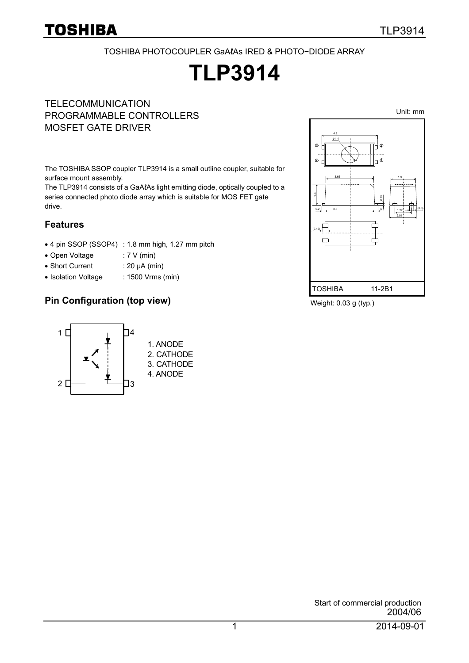Unit: mm

#### TOSHIBA PHOTOCOUPLER GaAℓAs IRED & PHOTO−DIODE ARRAY

# **TLP3914**

**TELECOMMUNICATION** PROGRAMMABLE CONTROLLERS MOSFET GATE DRIVER

The TOSHIBA SSOP coupler TLP3914 is a small outline coupler, suitable for surface mount assembly.

The TLP3914 consists of a GaAℓAs light emitting diode, optically coupled to a series connected photo diode array which is suitable for MOS FET gate drive.

#### **Features**

- 4 pin SSOP (SSOP4) : 1.8 mm high, 1.27 mm pitch
- Open Voltage : 7 V (min)
- Short Current : 20 μA (min)
- Isolation Voltage : 1500 Vrms (min)

#### **Pin Configuration (top view)**



Weight: 0.03 g (typ.)

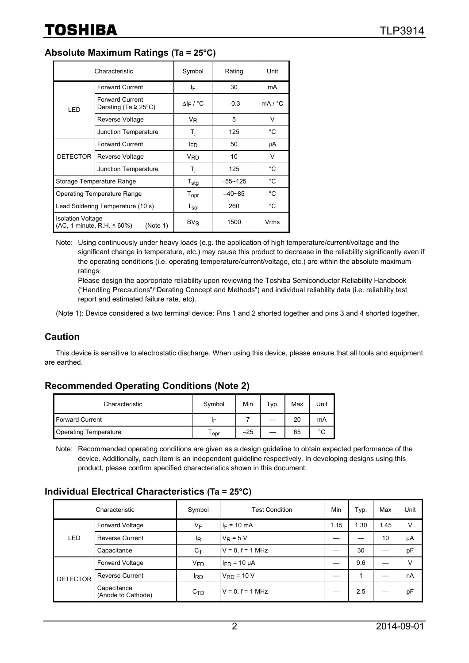#### **Absolute Maximum Ratings (Ta = 25°C)**

| Characteristic                                                             |                                                     | Symbol                | Rating      | Unit         |
|----------------------------------------------------------------------------|-----------------------------------------------------|-----------------------|-------------|--------------|
| LED                                                                        | <b>Forward Current</b>                              | ΙF                    | 30          | mA           |
|                                                                            | <b>Forward Current</b><br>Derating (Ta $\geq$ 25°C) | $\Delta$  F / °C      | $-0.3$      | mA / °C      |
|                                                                            | Reverse Voltage                                     | V <sub>R</sub>        | 5           | $\vee$       |
|                                                                            | Junction Temperature                                | T <sub>i</sub>        | 125         | °C           |
| <b>DETECTOR</b>                                                            | <b>Forward Current</b>                              | l <sub>ED</sub>       | 50          | μA           |
|                                                                            | Reverse Voltage                                     | <b>V<sub>RD</sub></b> | 10          | V            |
|                                                                            | Junction Temperature                                | Τi                    | 125         | °C           |
| Storage Temperature Range                                                  |                                                     | $T_{\text{stg}}$      | $-55 - 125$ | °C           |
| <b>Operating Temperature Range</b>                                         |                                                     | $T_{\mathsf{opr}}$    | $-40 - 85$  | $^{\circ}$ C |
| Lead Soldering Temperature (10 s)                                          |                                                     | $T_{sol}$             | 260         | $^{\circ}$ C |
| <b>Isolation Voltage</b><br>$(AC, 1$ minute, R.H. $\leq 60\%)$<br>(Note 1) |                                                     | $BV_S$                | 1500        | Vrms         |

Note: Using continuously under heavy loads (e.g. the application of high temperature/current/voltage and the significant change in temperature, etc.) may cause this product to decrease in the reliability significantly even if the operating conditions (i.e. operating temperature/current/voltage, etc.) are within the absolute maximum ratings.

Please design the appropriate reliability upon reviewing the Toshiba Semiconductor Reliability Handbook ("Handling Precautions"/"Derating Concept and Methods") and individual reliability data (i.e. reliability test report and estimated failure rate, etc).

(Note 1): Device considered a two terminal device: Pins 1 and 2 shorted together and pins 3 and 4 shorted together.

#### **Caution**

This device is sensitive to electrostatic discharge. When using this device, please ensure that all tools and equipment are earthed.

#### **Recommended Operating Conditions (Note 2)**

| Characteristic               | Symbol           | Min   | Typ. | Max | Unit   |
|------------------------------|------------------|-------|------|-----|--------|
| <b>Forward Current</b>       | IF               |       |      | 20  | mA     |
| <b>Operating Temperature</b> | <sup>1</sup> opr | $-25$ |      | 65  | $\sim$ |

Note: Recommended operating conditions are given as a design guideline to obtain expected performance of the device. Additionally, each item is an independent guideline respectively. In developing designs using this product, please confirm specified characteristics shown in this document.

#### **Individual Electrical Characteristics (Ta = 25°C)**

| Characteristic  |                                   | Symbol                | <b>Test Condition</b> | Min  | Typ. | Max  | Unit |
|-----------------|-----------------------------------|-----------------------|-----------------------|------|------|------|------|
| LED             | Forward Voltage                   | VF                    | $I_F = 10$ mA         | 1.15 | 1.30 | 1.45 | V    |
|                 | <b>Reverse Current</b>            | l <sub>R</sub>        | $V_R = 5 V$           |      |      | 10   | μA   |
|                 | Capacitance                       | $C_T$                 | $V = 0, f = 1 MHz$    |      | 30   |      | pF   |
| <b>DETECTOR</b> | Forward Voltage                   | <b>V<sub>FD</sub></b> | $I_{FD}$ = 10 $\mu$ A |      | 9.6  |      | v    |
|                 | <b>Reverse Current</b>            | <sup>I</sup> RD       | $V_{RD}$ = 10 V       |      |      |      | nA   |
|                 | Capacitance<br>(Anode to Cathode) | C <sub>TD</sub>       | $V = 0, f = 1 MHz$    |      | 2.5  |      | pF   |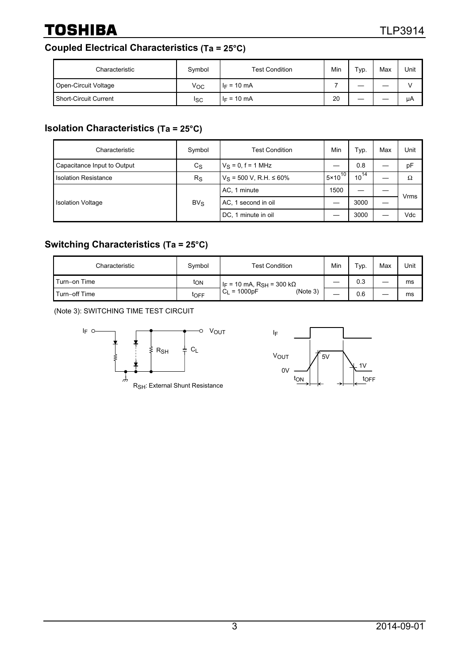#### **Coupled Electrical Characteristics (Ta = 25°C)**

| Characteristic        | Symbol | <b>Test Condition</b> | Min | Typ. | Max | Unit |
|-----------------------|--------|-----------------------|-----|------|-----|------|
| Open-Circuit Voltage  | Voc    | $I_F = 10 \text{ mA}$ |     | __   |     |      |
| Short-Circuit Current | Isc    | $I_F = 10 \text{ mA}$ | 20  |      |     | μA   |

#### **Isolation Characteristics (Ta = 25°C)**

| Characteristic              | Symbol      | Test Condition                 | Min                | Typ.      | Max | Unit |
|-----------------------------|-------------|--------------------------------|--------------------|-----------|-----|------|
| Capacitance Input to Output | $c_{\rm S}$ | $V_S = 0$ , f = 1 MHz          |                    | 0.8       |     | pF   |
| <b>Isolation Resistance</b> | $R_{\rm S}$ | $V_S$ = 500 V, R.H. $\leq$ 60% | $5 \times 10^{10}$ | $10^{14}$ |     | Ω    |
| <b>Isolation Voltage</b>    | $BV_S$      | AC, 1 minute                   | 1500               |           |     | Vrms |
|                             |             | AC, 1 second in oil            |                    | 3000      |     |      |
|                             |             | DC, 1 minute in oil            |                    | 3000      |     | Vdc  |

#### **Switching Characteristics (Ta = 25°C)**

| Characteristic | Symbol | <b>Test Condition</b>                            | Min | Typ. | Max | Unit |
|----------------|--------|--------------------------------------------------|-----|------|-----|------|
| Turn-on Time   | ton    | I <sub>F</sub> = 10 mA, R <sub>SH</sub> = 300 kΩ |     | 0.3  |     | ms   |
| Turn-off Time  | toff   | $C_L = 1000pF$<br>(Note 3)                       |     | 0.6  |     | ms   |

(Note 3): SWITCHING TIME TEST CIRCUIT



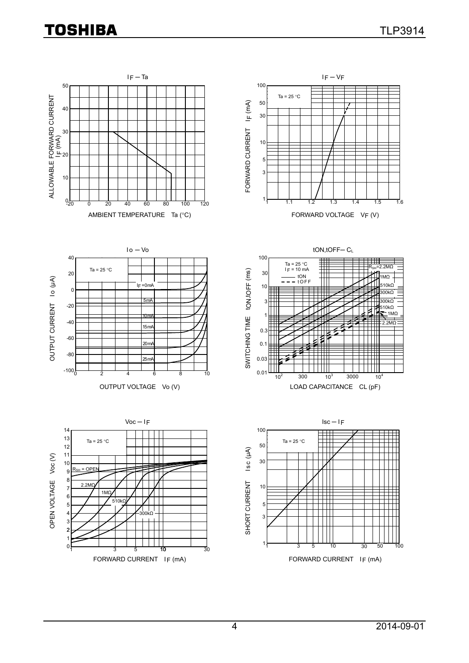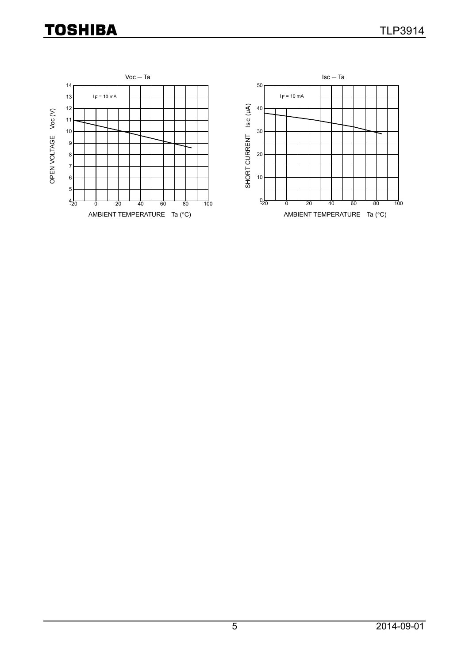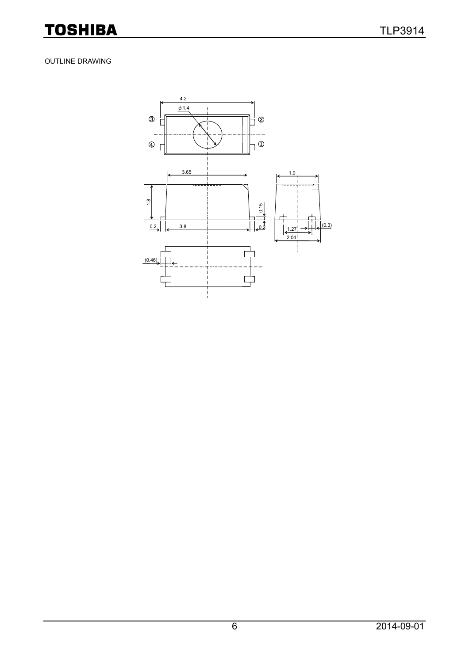#### OUTLINE DRAWING

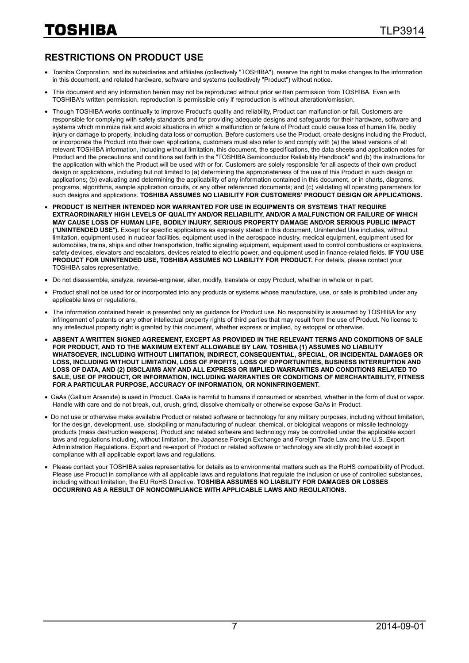#### **RESTRICTIONS ON PRODUCT USE**

- Toshiba Corporation, and its subsidiaries and affiliates (collectively "TOSHIBA"), reserve the right to make changes to the information in this document, and related hardware, software and systems (collectively "Product") without notice.
- This document and any information herein may not be reproduced without prior written permission from TOSHIBA. Even with TOSHIBA's written permission, reproduction is permissible only if reproduction is without alteration/omission.
- Though TOSHIBA works continually to improve Product's quality and reliability, Product can malfunction or fail. Customers are responsible for complying with safety standards and for providing adequate designs and safeguards for their hardware, software and systems which minimize risk and avoid situations in which a malfunction or failure of Product could cause loss of human life, bodily injury or damage to property, including data loss or corruption. Before customers use the Product, create designs including the Product, or incorporate the Product into their own applications, customers must also refer to and comply with (a) the latest versions of all relevant TOSHIBA information, including without limitation, this document, the specifications, the data sheets and application notes for Product and the precautions and conditions set forth in the "TOSHIBA Semiconductor Reliability Handbook" and (b) the instructions for the application with which the Product will be used with or for. Customers are solely responsible for all aspects of their own product design or applications, including but not limited to (a) determining the appropriateness of the use of this Product in such design or applications; (b) evaluating and determining the applicability of any information contained in this document, or in charts, diagrams, programs, algorithms, sample application circuits, or any other referenced documents; and (c) validating all operating parameters for such designs and applications. **TOSHIBA ASSUMES NO LIABILITY FOR CUSTOMERS' PRODUCT DESIGN OR APPLICATIONS.**
- **PRODUCT IS NEITHER INTENDED NOR WARRANTED FOR USE IN EQUIPMENTS OR SYSTEMS THAT REQUIRE EXTRAORDINARILY HIGH LEVELS OF QUALITY AND/OR RELIABILITY, AND/OR A MALFUNCTION OR FAILURE OF WHICH MAY CAUSE LOSS OF HUMAN LIFE, BODILY INJURY, SERIOUS PROPERTY DAMAGE AND/OR SERIOUS PUBLIC IMPACT (**"**UNINTENDED USE**"**).** Except for specific applications as expressly stated in this document, Unintended Use includes, without limitation, equipment used in nuclear facilities, equipment used in the aerospace industry, medical equipment, equipment used for automobiles, trains, ships and other transportation, traffic signaling equipment, equipment used to control combustions or explosions, safety devices, elevators and escalators, devices related to electric power, and equipment used in finance-related fields. **IF YOU USE PRODUCT FOR UNINTENDED USE, TOSHIBA ASSUMES NO LIABILITY FOR PRODUCT.** For details, please contact your TOSHIBA sales representative.
- Do not disassemble, analyze, reverse-engineer, alter, modify, translate or copy Product, whether in whole or in part.
- Product shall not be used for or incorporated into any products or systems whose manufacture, use, or sale is prohibited under any applicable laws or regulations.
- The information contained herein is presented only as quidance for Product use. No responsibility is assumed by TOSHIBA for any infringement of patents or any other intellectual property rights of third parties that may result from the use of Product. No license to any intellectual property right is granted by this document, whether express or implied, by estoppel or otherwise.
- **ABSENT A WRITTEN SIGNED AGREEMENT, EXCEPT AS PROVIDED IN THE RELEVANT TERMS AND CONDITIONS OF SALE FOR PRODUCT, AND TO THE MAXIMUM EXTENT ALLOWABLE BY LAW, TOSHIBA (1) ASSUMES NO LIABILITY WHATSOEVER, INCLUDING WITHOUT LIMITATION, INDIRECT, CONSEQUENTIAL, SPECIAL, OR INCIDENTAL DAMAGES OR LOSS, INCLUDING WITHOUT LIMITATION, LOSS OF PROFITS, LOSS OF OPPORTUNITIES, BUSINESS INTERRUPTION AND LOSS OF DATA, AND (2) DISCLAIMS ANY AND ALL EXPRESS OR IMPLIED WARRANTIES AND CONDITIONS RELATED TO SALE, USE OF PRODUCT, OR INFORMATION, INCLUDING WARRANTIES OR CONDITIONS OF MERCHANTABILITY, FITNESS FOR A PARTICULAR PURPOSE, ACCURACY OF INFORMATION, OR NONINFRINGEMENT.**
- GaAs (Gallium Arsenide) is used in Product. GaAs is harmful to humans if consumed or absorbed, whether in the form of dust or vapor. Handle with care and do not break, cut, crush, grind, dissolve chemically or otherwise expose GaAs in Product.
- Do not use or otherwise make available Product or related software or technology for any military purposes, including without limitation, for the design, development, use, stockpiling or manufacturing of nuclear, chemical, or biological weapons or missile technology products (mass destruction weapons). Product and related software and technology may be controlled under the applicable export laws and regulations including, without limitation, the Japanese Foreign Exchange and Foreign Trade Law and the U.S. Export Administration Regulations. Export and re-export of Product or related software or technology are strictly prohibited except in compliance with all applicable export laws and regulations.
- Please contact your TOSHIBA sales representative for details as to environmental matters such as the RoHS compatibility of Product. Please use Product in compliance with all applicable laws and regulations that regulate the inclusion or use of controlled substances, including without limitation, the EU RoHS Directive. **TOSHIBA ASSUMES NO LIABILITY FOR DAMAGES OR LOSSES OCCURRING AS A RESULT OF NONCOMPLIANCE WITH APPLICABLE LAWS AND REGULATIONS.**